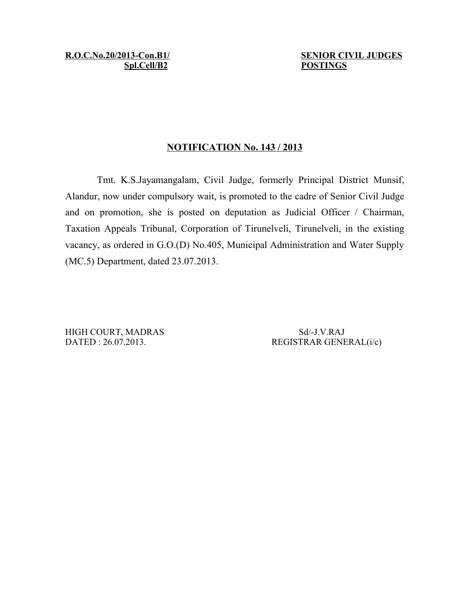**R.O.C.No.20/2013-Con.B1/ SENIOR CIVIL JUDGES Spl.Cell/B2 POSTINGS**

## **NOTIFICATION No. 143 / 2013**

Tmt. K.S.Jayamangalam, Civil Judge, formerly Principal District Munsif, Alandur, now under compulsory wait, is promoted to the cadre of Senior Civil Judge and on promotion, she is posted on deputation as Judicial Officer / Chairman, Taxation Appeals Tribunal, Corporation of Tirunelveli, Tirunelveli, in the existing vacancy, as ordered in G.O.(D) No.405, Municipal Administration and Water Supply (MC.5) Department, dated 23.07.2013.

HIGH COURT, MADRAS Sd/-J.V.RAJ

DATED : 26.07.2013. REGISTRAR GENERAL(i/c)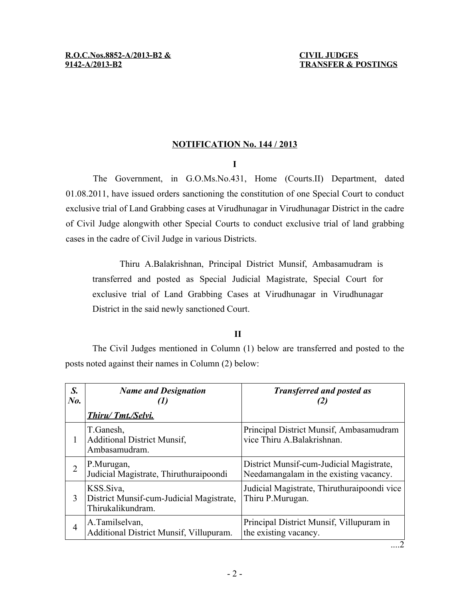## **NOTIFICATION No. 144 / 2013**

**I**

The Government, in G.O.Ms.No.431, Home (Courts.II) Department, dated 01.08.2011, have issued orders sanctioning the constitution of one Special Court to conduct exclusive trial of Land Grabbing cases at Virudhunagar in Virudhunagar District in the cadre of Civil Judge alongwith other Special Courts to conduct exclusive trial of land grabbing cases in the cadre of Civil Judge in various Districts.

Thiru A.Balakrishnan, Principal District Munsif, Ambasamudram is transferred and posted as Special Judicial Magistrate, Special Court for exclusive trial of Land Grabbing Cases at Virudhunagar in Virudhunagar District in the said newly sanctioned Court.

## **II**

The Civil Judges mentioned in Column (1) below are transferred and posted to the posts noted against their names in Column (2) below:

| S.<br>$N_{0}$ . | <b>Name and Designation</b>                                                | <b>Transferred and posted as</b>                                                   |
|-----------------|----------------------------------------------------------------------------|------------------------------------------------------------------------------------|
|                 | Thiru/Tmt./Selvi.                                                          |                                                                                    |
| 1               | T.Ganesh,<br><b>Additional District Munsif,</b><br>Ambasamudram.           | Principal District Munsif, Ambasamudram<br>vice Thiru A.Balakrishnan.              |
| $\overline{2}$  | P.Murugan,<br>Judicial Magistrate, Thiruthuraipoondi                       | District Munsif-cum-Judicial Magistrate,<br>Needamangalam in the existing vacancy. |
| 3               | KSS.Siva,<br>District Munsif-cum-Judicial Magistrate,<br>Thirukalikundram. | Judicial Magistrate, Thiruthuraipoondi vice<br>Thiru P.Murugan.                    |
| 4               | A.Tamilselvan,<br>Additional District Munsif, Villupuram.                  | Principal District Munsif, Villupuram in<br>the existing vacancy.                  |

....2